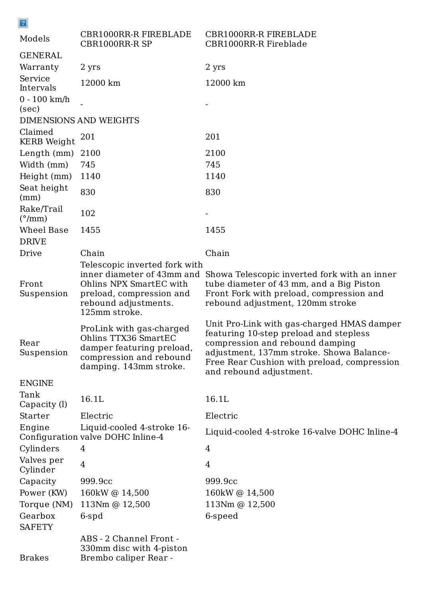Valves per Cylinder 4 4 Capacity 999.9cc 999.9cc Power (KW) 160kW @ 14,500 160kW @ 14,500 Torque (NM) 113Nm @ 12,500 113Nm @ 12,500 Gearbox 6-spd 6-speed **SAFETY** 

| $\boxed{2}$                    |                                                                                                                                                             |                                                                                                                                                                                                                                               |  |
|--------------------------------|-------------------------------------------------------------------------------------------------------------------------------------------------------------|-----------------------------------------------------------------------------------------------------------------------------------------------------------------------------------------------------------------------------------------------|--|
| Models                         | CBR1000RR-R FIREBLADE<br><b>CBR1000RR-R SP</b>                                                                                                              | <b>CBR1000RR-R FIREBLADE</b><br><b>CBR1000RR-R Fireblade</b>                                                                                                                                                                                  |  |
| <b>GENERAL</b>                 |                                                                                                                                                             |                                                                                                                                                                                                                                               |  |
| Warranty                       | 2 yrs                                                                                                                                                       | 2 yrs                                                                                                                                                                                                                                         |  |
| Service<br>Intervals           | 12000 km                                                                                                                                                    | 12000 km                                                                                                                                                                                                                                      |  |
| $0 - 100$ km/h<br>(sec)        |                                                                                                                                                             |                                                                                                                                                                                                                                               |  |
| <b>DIMENSIONS AND WEIGHTS</b>  |                                                                                                                                                             |                                                                                                                                                                                                                                               |  |
| Claimed<br><b>KERB</b> Weight  | 201                                                                                                                                                         | 201                                                                                                                                                                                                                                           |  |
| Length (mm)                    | 2100                                                                                                                                                        | 2100                                                                                                                                                                                                                                          |  |
| Width (mm)                     | 745                                                                                                                                                         | 745                                                                                                                                                                                                                                           |  |
| Height (mm)                    | 1140                                                                                                                                                        | 1140                                                                                                                                                                                                                                          |  |
| Seat height<br>(mm)            | 830                                                                                                                                                         | 830                                                                                                                                                                                                                                           |  |
| Rake/Trail<br>$(^{\circ}$ /mm) | 102                                                                                                                                                         |                                                                                                                                                                                                                                               |  |
| Wheel Base                     | 1455                                                                                                                                                        | 1455                                                                                                                                                                                                                                          |  |
| <b>DRIVE</b>                   |                                                                                                                                                             |                                                                                                                                                                                                                                               |  |
| Drive                          | Chain                                                                                                                                                       | Chain                                                                                                                                                                                                                                         |  |
| Front<br>Suspension            | Telescopic inverted fork with<br>inner diameter of 43mm and<br>Ohlins NPX SmartEC with<br>preload, compression and<br>rebound adjustments.<br>125mm stroke. | Showa Telescopic inverted fork with an inner<br>tube diameter of 43 mm, and a Big Piston<br>Front Fork with preload, compression and<br>rebound adjustment, 120mm stroke                                                                      |  |
| Rear<br>Suspension             | ProLink with gas-charged<br>Ohlins TTX36 SmartEC<br>damper featuring preload,<br>compression and rebound<br>damping. 143mm stroke.                          | Unit Pro-Link with gas-charged HMAS damper<br>featuring 10-step preload and stepless<br>compression and rebound damping<br>adjustment, 137mm stroke. Showa Balance-<br>Free Rear Cushion with preload, compression<br>and rebound adjustment. |  |
| <b>ENGINE</b>                  |                                                                                                                                                             |                                                                                                                                                                                                                                               |  |
| Tank<br>Capacity (l)           | 16.1L                                                                                                                                                       | 16.1L                                                                                                                                                                                                                                         |  |
| <b>Starter</b>                 | Electric                                                                                                                                                    | Electric                                                                                                                                                                                                                                      |  |
| Engine                         | Liquid-cooled 4-stroke 16-<br>Configuration valve DOHC Inline-4                                                                                             | Liquid-cooled 4-stroke 16-valve DOHC Inline-4                                                                                                                                                                                                 |  |
| Cylinders                      | 4                                                                                                                                                           | 4                                                                                                                                                                                                                                             |  |

Brakes

ABS - 2 Channel Front - 330mm disc with 4-piston Brembo caliper Rear -